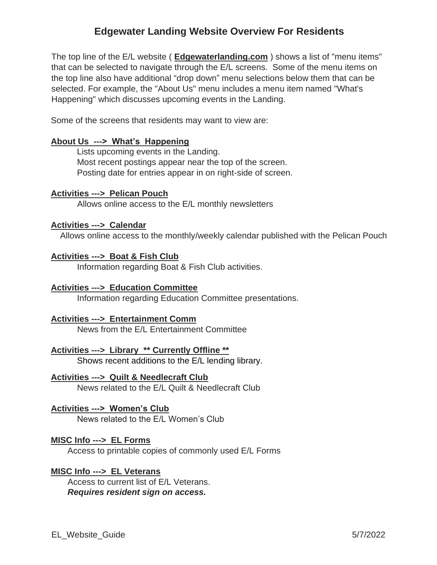# **Edgewater Landing Website Overview For Residents**

The top line of the E/L website ( **Edgewaterlanding.com** ) shows a list of "menu items" that can be selected to navigate through the E/L screens. Some of the menu items on the top line also have additional "drop down" menu selections below them that can be selected. For example, the "About Us" menu includes a menu item named "What's Happening" which discusses upcoming events in the Landing.

Some of the screens that residents may want to view are:

## **About Us ---> What's Happening**

Lists upcoming events in the Landing. Most recent postings appear near the top of the screen. Posting date for entries appear in on right-side of screen.

## **Activities ---> Pelican Pouch**

Allows online access to the E/L monthly newsletters

## **Activities ---> Calendar**

Allows online access to the monthly/weekly calendar published with the Pelican Pouch

# **Activities ---> Boat & Fish Club**

Information regarding Boat & Fish Club activities.

## **Activities ---> Education Committee**

Information regarding Education Committee presentations.

## **Activities ---> Entertainment Comm**

News from the E/L Entertainment Committee

## **Activities ---> Library \*\* Currently Offline \*\***

Shows recent additions to the E/L lending library.

## **Activities ---> Quilt & Needlecraft Club**

News related to the E/L Quilt & Needlecraft Club

## **Activities ---> Women's Club**

News related to the E/L Women's Club

## **MISC Info ---> EL Forms**

Access to printable copies of commonly used E/L Forms

## **MISC Info ---> EL Veterans**

 Access to current list of E/L Veterans.  *Requires resident sign on access.*